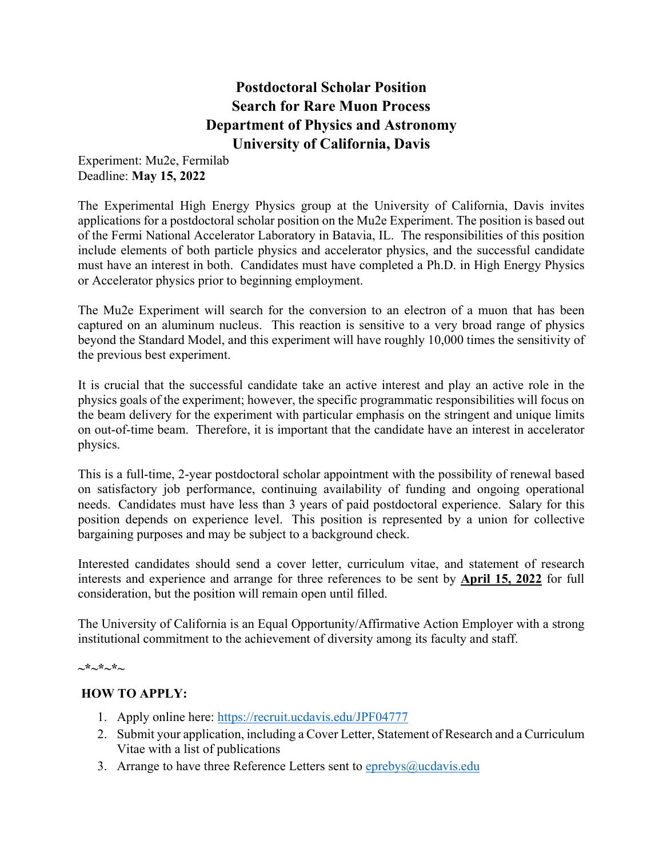# **Postdoctoral Scholar Position Search for Rare Muon Process Department of Physics and Astronomy University of California, Davis**

Experiment: Mu2e, Fermilab Deadline: **May 15, 2022**

The Experimental High Energy Physics group at the University of California, Davis invites applications for a postdoctoral scholar position on the Mu2e Experiment. The position is based out of the Fermi National Accelerator Laboratory in Batavia, IL. The responsibilities of this position include elements of both particle physics and accelerator physics, and the successful candidate must have an interest in both. Candidates must have completed a Ph.D. in High Energy Physics or Accelerator physics prior to beginning employment.

The Mu2e Experiment will search for the conversion to an electron of a muon that has been captured on an aluminum nucleus. This reaction is sensitive to a very broad range of physics beyond the Standard Model, and this experiment will have roughly 10,000 times the sensitivity of the previous best experiment.

It is crucial that the successful candidate take an active interest and play an active role in the physics goals of the experiment; however, the specific programmatic responsibilities will focus on the beam delivery for the experiment with particular emphasis on the stringent and unique limits on out-of-time beam. Therefore, it is important that the candidate have an interest in accelerator physics.

This is a full-time, 2-year postdoctoral scholar appointment with the possibility of renewal based on satisfactory job performance, continuing availability of funding and ongoing operational needs. Candidates must have less than 3 years of paid postdoctoral experience. Salary for this position depends on experience level. This position is represented by a union for collective bargaining purposes and may be subject to a background check.

Interested candidates should send a cover letter, curriculum vitae, and statement of research interests and experience and arrange for three references to be sent by **April 15, 2022** for full consideration, but the position will remain open until filled.

The University of California is an Equal Opportunity/Affirmative Action Employer with a strong institutional commitment to the achievement of diversity among its faculty and staff.

#### **~\*~\*~\*~**

# **HOW TO APPLY:**

- 1. Apply online here:<https://recruit.ucdavis.edu/JPF04777>
- 2. Submit your application, including a Cover Letter, Statement of Research and a Curriculum Vitae with a list of publications
- 3. Arrange to have three Reference Letters sent to eprebys $@u$ cdavis.edu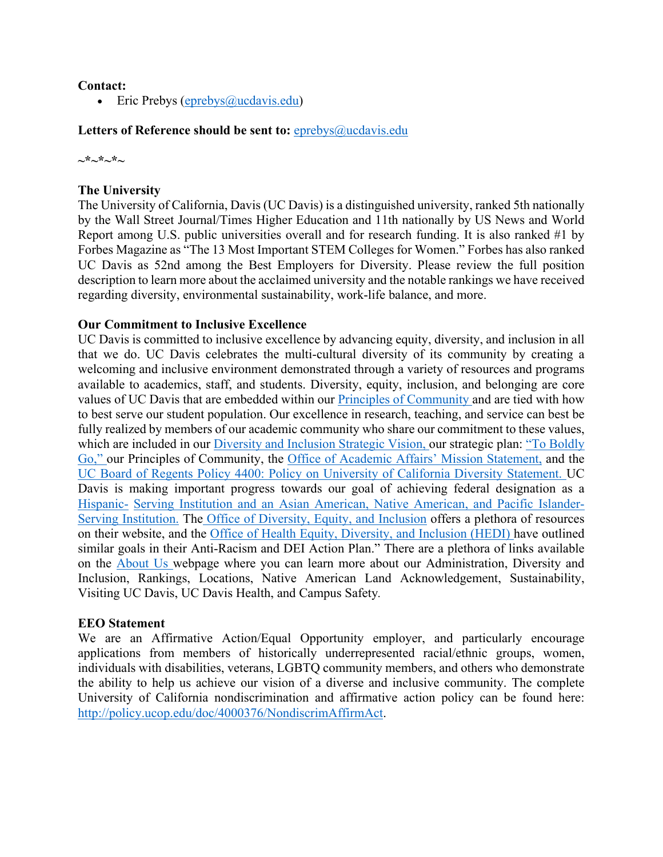# **Contact:**

• Eric Prebys ( $\epsilon$ prebys $\omega$ ucdavis.edu)

## Letters of Reference should be sent to: **[eprebys@ucdavis.edu](mailto:eprebys@ucdavis.edu)**

**~\*~\*~\*~** 

## **The University**

The University of California, Davis (UC Davis) is a distinguished university, ranked 5th nationally by the Wall Street Journal/Times Higher Education and 11th nationally by US News and World Report among U.S. public universities overall and for research funding. It is also ranked #1 by Forbes Magazine as "The 13 Most Important STEM Colleges for Women." Forbes has also ranked UC Davis as 52nd among the Best Employers for Diversity. Please review the full position description to learn more about the acclaimed university and the notable rankings we have received regarding diversity, environmental sustainability, work-life balance, and more.

# **Our Commitment to Inclusive Excellence**

UC Davis is committed to inclusive excellence by advancing equity, diversity, and inclusion in all that we do. UC Davis celebrates the multi-cultural diversity of its community by creating a welcoming and inclusive environment demonstrated through a variety of resources and programs available to academics, staff, and students. Diversity, equity, inclusion, and belonging are core values of UC Davis that are embedded within our [Principles of Community a](https://diversity.ucdavis.edu/principles-community)nd are tied with how to best serve our student population. Our excellence in research, teaching, and service can best be fully realized by members of our academic community who share our commitment to these values, which are included in our [Diversity and Inclusion Strategic Vision, o](https://diversity.ucdavis.edu/about/strategic-plan)ur strategic plan: ["To Boldly](https://leadership.ucdavis.edu/strategic-plan)  [Go," o](https://leadership.ucdavis.edu/strategic-plan)ur Principles of Community, the [Office of Academic Affairs' Mission Statement,](https://academicaffairs.ucdavis.edu/mission-statement) and the [UC Board of Regents Policy 4400: Policy on University of California Diversity Statement. U](https://regents.universityofcalifornia.edu/governance/policies/4400.html)C Davis is making important progress towards our goal of achieving federal designation as a [Hispanic-](https://diversity.ucdavis.edu/hsi) [Serving Institution and an Asian American, Native American, and Pacific Islander-](https://diversity.ucdavis.edu/hsi)[Serving Institution.](https://diversity.ucdavis.edu/hsi) The [Office of Diversity, Equity, and Inclusion](https://diversity.ucdavis.edu/) offers a plethora of resources on their website, and the [Office of Health Equity, Diversity, and Inclusion \(HEDI\) h](https://health.ucdavis.edu/diversity-inclusion/)ave outlined similar goals in their Anti-Racism and DEI Action Plan." There are a plethora of links available on the [About Us w](https://www.ucdavis.edu/about)ebpage where you can learn more about our Administration, Diversity and Inclusion, Rankings, Locations, Native American Land Acknowledgement, Sustainability, Visiting UC Davis, UC Davis Health, and Campus Safety*.*

#### **EEO Statement**

We are an Affirmative Action/Equal Opportunity employer, and particularly encourage applications from members of historically underrepresented racial/ethnic groups, women, individuals with disabilities, veterans, LGBTQ community members, and others who demonstrate the ability to help us achieve our vision of a diverse and inclusive community. The complete University of California nondiscrimination and affirmative action policy can be found here: [http://policy.ucop.edu/doc/4000376/NondiscrimAffirmAct.](http://policy.ucop.edu/doc/4000376/NondiscrimAffirmAct)